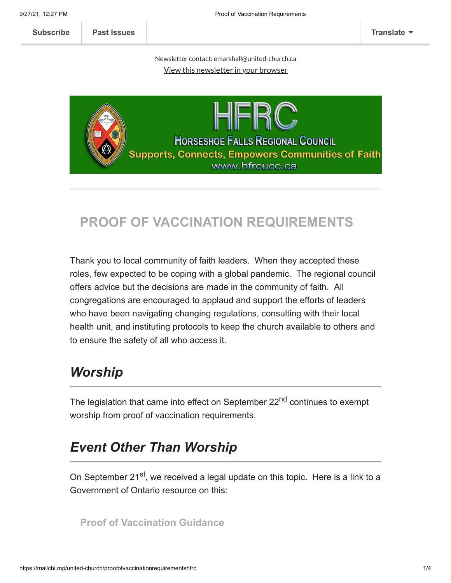9/27/21, 12:27 PM Proof of Vaccination Requirements

**[Subscribe](http://eepurl.com/hqUUZ5) [Past Issues](https://us20.campaign-archive.com/home/?u=ee15470ca4eab124ea964929b&id=aba9e77f9c) [Translate](javascript:;)**

Newsletter contact: [emarshall@united-church.ca](mailto:emarshall@united-church.ca?subject=Newsletter) View this [newsletter](https://mailchi.mp/united-church/proofofvaccinationrequirementshfrc?e=[UNIQID]) in your browser



## **PROOF OF VACCINATION REQUIREMENTS**

Thank you to local community of faith leaders. When they accepted these roles, few expected to be coping with a global pandemic. The regional council offers advice but the decisions are made in the community of faith. All congregations are encouraged to applaud and support the efforts of leaders who have been navigating changing regulations, consulting with their local health unit, and instituting protocols to keep the church available to others and to ensure the safety of all who access it.

# *Worship*

The legislation that came into effect on September 22<sup>nd</sup> continues to exempt worship from proof of vaccination requirements.

# *Event Other Than Worship*

On September 21<sup>st</sup>, we received a legal update on this topic. Here is a link to a Government of Ontario resource on this:

**[Proof of Vaccination Guidance](https://www.health.gov.on.ca/en/pro/programs/publichealth/coronavirus/docs/guidance_proof_of_vaccination_for_businesses_and_organizations.pdf)**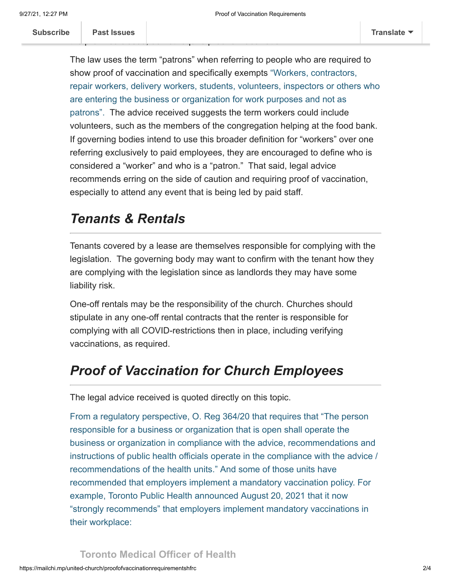The law uses the term "patrons" when referring to people who are required to show proof of vaccination and specifically exempts "Workers, contractors, repair workers, delivery workers, students, volunteers, inspectors or others who are entering the business or organization for work purposes and not as patrons". The advice received suggests the term workers could include volunteers, such as the members of the congregation helping at the food bank. If governing bodies intend to use this broader definition for "workers" over one referring exclusively to paid employees, they are encouraged to define who is considered a "worker" and who is a "patron." That said, legal advice recommends erring on the side of caution and requiring proof of vaccination, especially to attend any event that is being led by paid staff.

### *Tenants & Rentals*

Tenants covered by a lease are themselves responsible for complying with the legislation. The governing body may want to confirm with the tenant how they are complying with the legislation since as landlords they may have some liability risk.

One-off rentals may be the responsibility of the church. Churches should stipulate in any one-off rental contracts that the renter is responsible for complying with all COVID-restrictions then in place, including verifying vaccinations, as required.

## *Proof of Vaccination for Church Employees*

The legal advice received is quoted directly on this topic.

From a regulatory perspective, O. Reg 364/20 that requires that "The person responsible for a business or organization that is open shall operate the business or organization in compliance with the advice, recommendations and instructions of public health officials operate in the compliance with the advice / recommendations of the health units." And some of those units have recommended that employers implement a mandatory vaccination policy. For example, Toronto Public Health announced August 20, 2021 that it now "strongly recommends" that employers implement mandatory vaccinations in their workplace: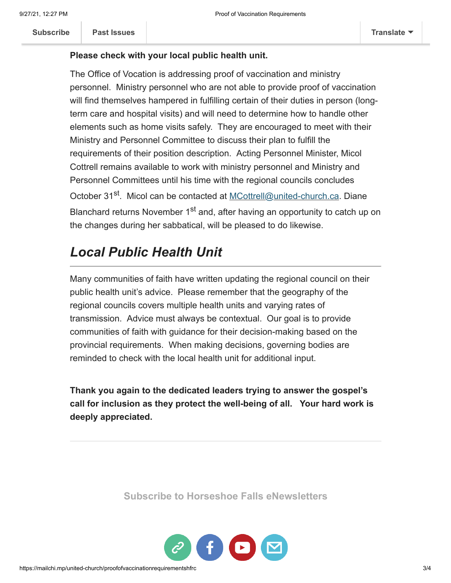### **Please check with your local public health unit.**

The Office of Vocation is addressing proof of vaccination and ministry personnel. Ministry personnel who are not able to provide proof of vaccination will find themselves hampered in fulfilling certain of their duties in person (longterm care and hospital visits) and will need to determine how to handle other elements such as home visits safely. They are encouraged to meet with their Ministry and Personnel Committee to discuss their plan to fulfill the requirements of their position description. Acting Personnel Minister, Micol Cottrell remains available to work with ministry personnel and Ministry and Personnel Committees until his time with the regional councils concludes October 31<sup>st</sup>. Micol can be contacted at [MCottrell@united-church.ca](mailto:MCottrell@united-church.ca). Diane Blanchard returns November 1<sup>st</sup> and, after having an opportunity to catch up on the changes during her sabbatical, will be pleased to do likewise.

## *Local Public Health Unit*

Many communities of faith have written updating the regional council on their public health unit's advice. Please remember that the geography of the regional councils covers multiple health units and varying rates of transmission. Advice must always be contextual. Our goal is to provide communities of faith with guidance for their decision-making based on the provincial requirements. When making decisions, governing bodies are reminded to check with the local health unit for additional input.

**Thank you again to the dedicated leaders trying to answer the gospel's call for inclusion as they protect the well-being of all. Your hard work is deeply appreciated.**

**[Subscribe to Horseshoe Falls eNewsletters](https://mailchi.mp/united-church/hfrcsubscription)**